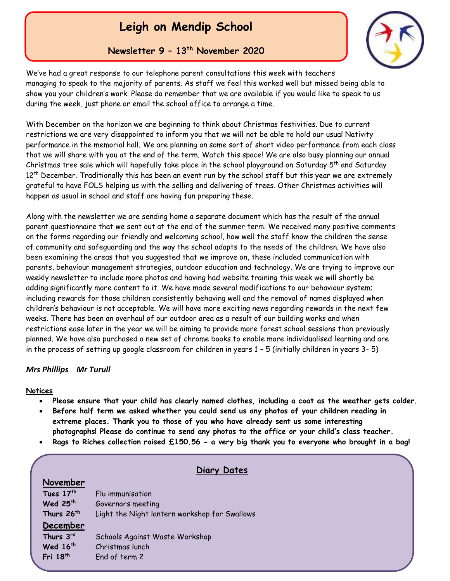# **Leigh on Mendip School**

### **Newsletter 9 – 13th November 2020**



We've had a great response to our telephone parent consultations this week with teachers managing to speak to the majority of parents. As staff we feel this worked well but missed being able to show you your children's work. Please do remember that we are available if you would like to speak to us during the week, just phone or email the school office to arrange a time.

With December on the horizon we are beginning to think about Christmas festivities. Due to current restrictions we are very disappointed to inform you that we will not be able to hold our usual Nativity performance in the memorial hall. We are planning on some sort of short video performance from each class that we will share with you at the end of the term. Watch this space! We are also busy planning our annual Christmas tree sale which will hopefully take place in the school playground on Saturday 5<sup>th</sup> and Saturday 12<sup>th</sup> December. Traditionally this has been an event run by the school staff but this year we are extremely grateful to have FOLS helping us with the selling and delivering of trees. Other Christmas activities will happen as usual in school and staff are having fun preparing these.

Along with the newsletter we are sending home a separate document which has the result of the annual parent questionnaire that we sent out at the end of the summer term. We received many positive comments on the forms regarding our friendly and welcoming school, how well the staff know the children the sense of community and safeguarding and the way the school adapts to the needs of the children. We have also been examining the areas that you suggested that we improve on, these included communication with parents, behaviour management strategies, outdoor education and technology. We are trying to improve our weekly newsletter to include more photos and having had website training this week we will shortly be adding significantly more content to it. We have made several modifications to our behaviour system; including rewards for those children consistently behaving well and the removal of names displayed when children's behaviour is not acceptable. We will have more exciting news regarding rewards in the next few weeks. There has been an overhaul of our outdoor area as a result of our building works and when restrictions ease later in the year we will be aiming to provide more forest school sessions than previously planned. We have also purchased a new set of chrome books to enable more individualised learning and are in the process of setting up google classroom for children in years 1 – 5 (initially children in years 3- 5)

### *Mrs Phillips Mr Turull*

### **Notices**

- **Please ensure that your child has clearly named clothes, including a coat as the weather gets colder.**
- **Before half term we asked whether you could send us any photos of your children reading in extreme places. Thank you to those of you who have already sent us some interesting photographs! Please do continue to send any photos to the office or your child's class teacher.**
- **Rags to Riches collection raised £150.56 - a very big thank you to everyone who brought in a bag!**

### **Diary Dates**

| November               |                                               |
|------------------------|-----------------------------------------------|
| Tues 17th              | Flu immunisation                              |
| Wed 25 <sup>th</sup>   | Governors meeting                             |
| Thurs 26 <sup>th</sup> | Light the Night lantern workshop for Swallows |
| December               |                                               |
| Thurs 3rd              | Schools Against Waste Workshop                |
| Wed 16 <sup>th</sup>   | Christmas lunch                               |
| Fri 18th               | End of term 2                                 |
|                        |                                               |